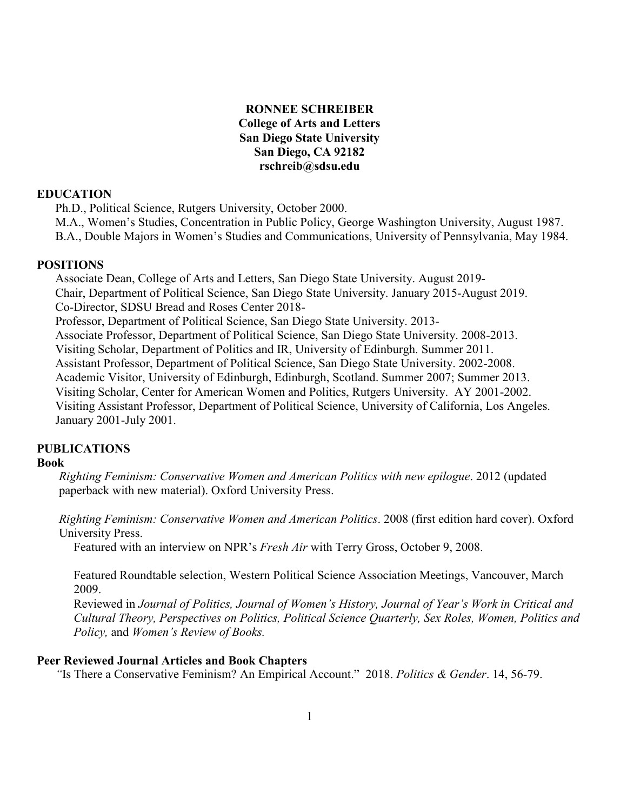## **RONNEE SCHREIBER College of Arts and Letters San Diego State University San Diego, CA 92182 rschreib@sdsu.edu**

### **EDUCATION**

Ph.D., Political Science, Rutgers University, October 2000.

M.A., Women's Studies, Concentration in Public Policy, George Washington University, August 1987. B.A., Double Majors in Women's Studies and Communications, University of Pennsylvania, May 1984.

### **POSITIONS**

Associate Dean, College of Arts and Letters, San Diego State University. August 2019- Chair, Department of Political Science, San Diego State University. January 2015-August 2019. Co-Director, SDSU Bread and Roses Center 2018- Professor, Department of Political Science, San Diego State University. 2013- Associate Professor, Department of Political Science, San Diego State University. 2008-2013. Visiting Scholar, Department of Politics and IR, University of Edinburgh. Summer 2011. Assistant Professor, Department of Political Science, San Diego State University. 2002-2008. Academic Visitor, University of Edinburgh, Edinburgh, Scotland. Summer 2007; Summer 2013. Visiting Scholar, Center for American Women and Politics, Rutgers University. AY 2001-2002. Visiting Assistant Professor, Department of Political Science, University of California, Los Angeles. January 2001-July 2001.

## **PUBLICATIONS**

### **Book**

*Righting Feminism: Conservative Women and American Politics with new epilogue*. 2012 (updated paperback with new material). Oxford University Press.

*Righting Feminism: Conservative Women and American Politics*. 2008 (first edition hard cover). Oxford University Press.

Featured with an interview on NPR's *Fresh Air* with Terry Gross, October 9, 2008.

Featured Roundtable selection, Western Political Science Association Meetings, Vancouver, March 2009.

Reviewed in *Journal of Politics, Journal of Women's History, Journal of Year's Work in Critical and Cultural Theory, Perspectives on Politics, Political Science Quarterly, Sex Roles, Women, Politics and Policy,* and *Women's Review of Books.*

### **Peer Reviewed Journal Articles and Book Chapters**

*"*Is There a Conservative Feminism? An Empirical Account." 2018. *Politics & Gender*. 14, 56-79.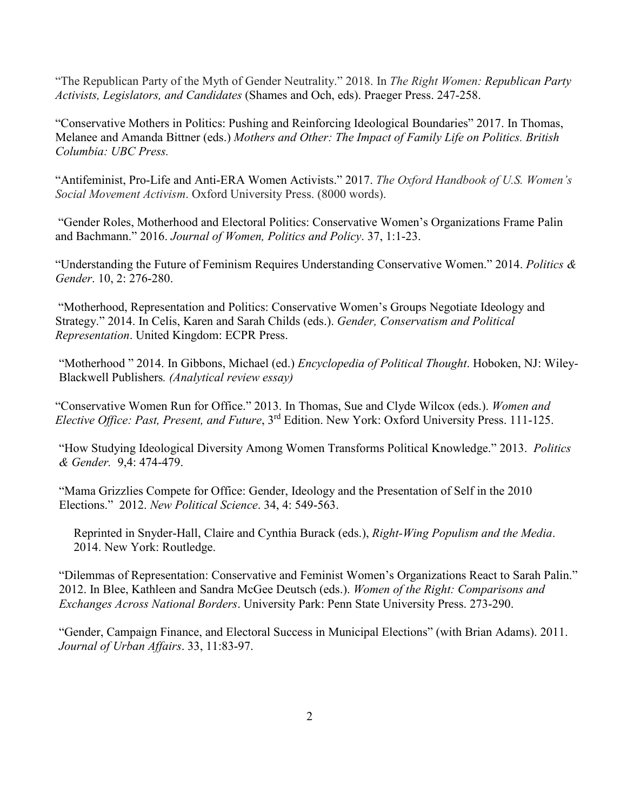"The Republican Party of the Myth of Gender Neutrality." 2018. In *The Right Women: Republican Party Activists, Legislators, and Candidates* (Shames and Och, eds). Praeger Press. 247-258.

"Conservative Mothers in Politics: Pushing and Reinforcing Ideological Boundaries" 2017. In Thomas, Melanee and Amanda Bittner (eds.) *Mothers and Other: The Impact of Family Life on Politics. British Columbia: UBC Press.*

"Antifeminist, Pro-Life and Anti-ERA Women Activists." 2017. *The Oxford Handbook of U.S. Women's Social Movement Activism*. Oxford University Press. (8000 words).

"Gender Roles, Motherhood and Electoral Politics: Conservative Women's Organizations Frame Palin and Bachmann." 2016. *Journal of Women, Politics and Policy*. 37, 1:1-23.

"Understanding the Future of Feminism Requires Understanding Conservative Women." 2014. *Politics & Gender*. 10, 2: 276-280.

"Motherhood, Representation and Politics: Conservative Women's Groups Negotiate Ideology and Strategy." 2014. In Celis, Karen and Sarah Childs (eds.). *Gender, Conservatism and Political Representation*. United Kingdom: ECPR Press.

"Motherhood " 2014. In Gibbons, Michael (ed.) *Encyclopedia of Political Thought*. Hoboken, NJ: Wiley-Blackwell Publishers*. (Analytical review essay)*

"Conservative Women Run for Office." 2013. In Thomas, Sue and Clyde Wilcox (eds.). *Women and Elective Office: Past, Present, and Future*, 3rd Edition. New York: Oxford University Press. 111-125.

"How Studying Ideological Diversity Among Women Transforms Political Knowledge." 2013. *Politics & Gender.* 9,4: 474-479.

"Mama Grizzlies Compete for Office: Gender, Ideology and the Presentation of Self in the 2010 Elections." 2012. *New Political Science*. 34, 4: 549-563.

Reprinted in Snyder-Hall, Claire and Cynthia Burack (eds.), *Right-Wing Populism and the Media*. 2014. New York: Routledge.

"Dilemmas of Representation: Conservative and Feminist Women's Organizations React to Sarah Palin." 2012. In Blee, Kathleen and Sandra McGee Deutsch (eds.). *Women of the Right: Comparisons and Exchanges Across National Borders*. University Park: Penn State University Press. 273-290.

"Gender, Campaign Finance, and Electoral Success in Municipal Elections" (with Brian Adams). 2011. *Journal of Urban Affairs*. 33, 11:83-97.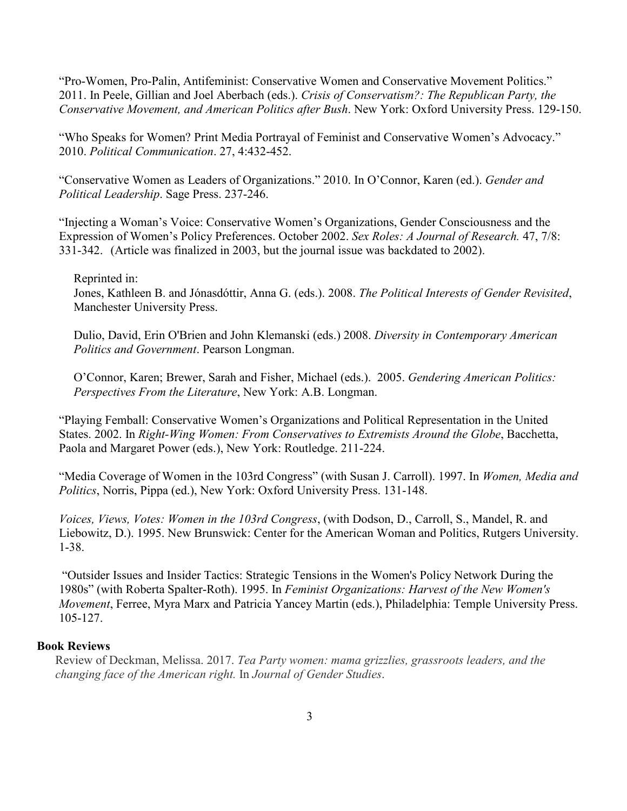"Pro-Women, Pro-Palin, Antifeminist: Conservative Women and Conservative Movement Politics." 2011. In Peele, Gillian and Joel Aberbach (eds.). *Crisis of Conservatism?: The Republican Party, the Conservative Movement, and American Politics after Bush*. New York: Oxford University Press. 129-150.

"Who Speaks for Women? Print Media Portrayal of Feminist and Conservative Women's Advocacy." 2010. *Political Communication*. 27, 4:432-452.

"Conservative Women as Leaders of Organizations." 2010. In O'Connor, Karen (ed.). *Gender and Political Leadership*. Sage Press. 237-246.

"Injecting a Woman's Voice: Conservative Women's Organizations, Gender Consciousness and the Expression of Women's Policy Preferences. October 2002. *Sex Roles: A Journal of Research.* 47, 7/8: 331-342. (Article was finalized in 2003, but the journal issue was backdated to 2002).

Reprinted in:

Jones, Kathleen B. and Jónasdóttir, Anna G. (eds.). 2008. *The Political Interests of Gender Revisited*, Manchester University Press.

Dulio, David, Erin O'Brien and John Klemanski (eds.) 2008. *Diversity in Contemporary American Politics and Government*. Pearson Longman.

O'Connor, Karen; Brewer, Sarah and Fisher, Michael (eds.). 2005. *Gendering American Politics: Perspectives From the Literature*, New York: A.B. Longman.

"Playing Femball: Conservative Women's Organizations and Political Representation in the United States. 2002. In *Right-Wing Women: From Conservatives to Extremists Around the Globe*, Bacchetta, Paola and Margaret Power (eds.), New York: Routledge. 211-224.

"Media Coverage of Women in the 103rd Congress" (with Susan J. Carroll). 1997. In *Women, Media and Politics*, Norris, Pippa (ed.), New York: Oxford University Press. 131-148.

*Voices, Views, Votes: Women in the 103rd Congress*, (with Dodson, D., Carroll, S., Mandel, R. and Liebowitz, D.). 1995. New Brunswick: Center for the American Woman and Politics, Rutgers University. 1-38.

"Outsider Issues and Insider Tactics: Strategic Tensions in the Women's Policy Network During the 1980s" (with Roberta Spalter-Roth). 1995. In *Feminist Organizations: Harvest of the New Women's Movement*, Ferree, Myra Marx and Patricia Yancey Martin (eds.), Philadelphia: Temple University Press. 105-127.

#### **Book Reviews**

Review of Deckman, Melissa. 2017. *Tea Party women: mama grizzlies, grassroots leaders, and the changing face of the American right.* In *Journal of Gender Studies*.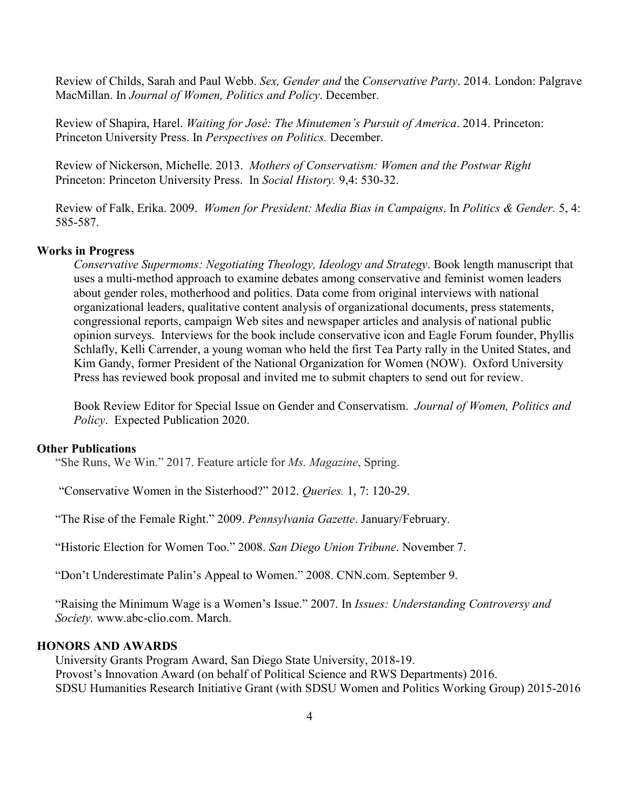Review of Childs, Sarah and Paul Webb. *Sex, Gender and* the *Conservative Party*. 2014. London: Palgrave MacMillan. In *Journal of Women, Politics and Policy*. December.

Review of Shapira, Harel. *Waiting for José: The Minutemen's Pursuit of America*. 2014. Princeton: Princeton University Press. In *Perspectives on Politics.* December.

Review of Nickerson, Michelle. 2013. *Mothers of Conservatism: Women and the Postwar Right* Princeton: Princeton University Press. In *Social History.* 9,4: 530-32.

Review of Falk, Erika. 2009. *Women for President: Media Bias in Campaigns*. In *Politics & Gender.* 5, 4: 585-587.

#### **Works in Progress**

*Conservative Supermoms: Negotiating Theology, Ideology and Strategy*. Book length manuscript that uses a multi-method approach to examine debates among conservative and feminist women leaders about gender roles, motherhood and politics. Data come from original interviews with national organizational leaders, qualitative content analysis of organizational documents, press statements, congressional reports, campaign Web sites and newspaper articles and analysis of national public opinion surveys. Interviews for the book include conservative icon and Eagle Forum founder, Phyllis Schlafly, Kelli Carrender, a young woman who held the first Tea Party rally in the United States, and Kim Gandy, former President of the National Organization for Women (NOW). Oxford University Press has reviewed book proposal and invited me to submit chapters to send out for review.

Book Review Editor for Special Issue on Gender and Conservatism. *Journal of Women, Politics and Policy*. Expected Publication 2020.

#### **Other Publications**

"She Runs, We Win." 2017. Feature article for *Ms. Magazine*, Spring.

"Conservative Women in the Sisterhood?" 2012. *Queries.* 1, 7: 120-29.

"The Rise of the Female Right." 2009. *Pennsylvania Gazette*. January/February.

"Historic Election for Women Too." 2008. *San Diego Union Tribune*. November 7.

"Don't Underestimate Palin's Appeal to Women." 2008. CNN.com. September 9.

"Raising the Minimum Wage is a Women's Issue." 2007. In *Issues: Understanding Controversy and Society.* www.abc-clio.com. March.

#### **HONORS AND AWARDS**

University Grants Program Award, San Diego State University, 2018-19. Provost's Innovation Award (on behalf of Political Science and RWS Departments) 2016. SDSU Humanities Research Initiative Grant (with SDSU Women and Politics Working Group) 2015-2016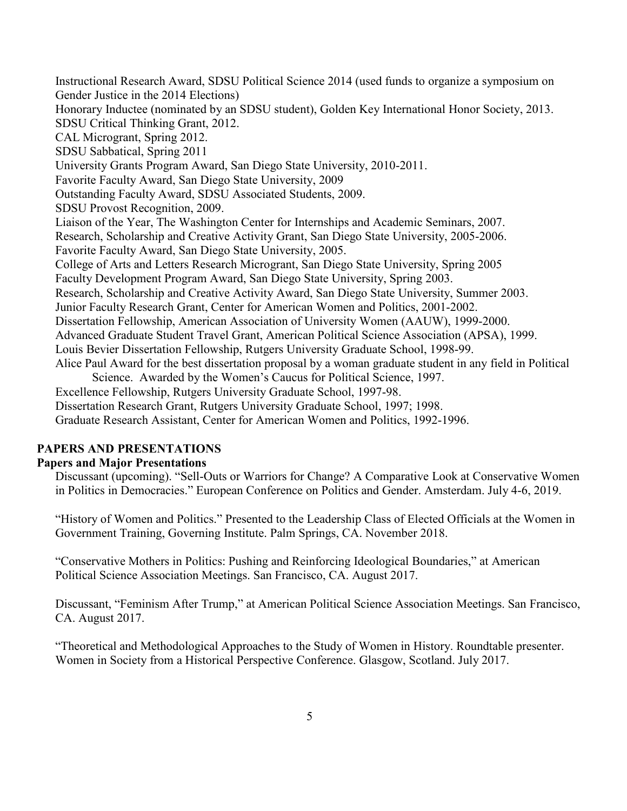Instructional Research Award, SDSU Political Science 2014 (used funds to organize a symposium on Gender Justice in the 2014 Elections) Honorary Inductee (nominated by an SDSU student), Golden Key International Honor Society, 2013. SDSU Critical Thinking Grant, 2012. CAL Microgrant, Spring 2012. SDSU Sabbatical, Spring 2011 University Grants Program Award, San Diego State University, 2010-2011. Favorite Faculty Award, San Diego State University, 2009 Outstanding Faculty Award, SDSU Associated Students, 2009. SDSU Provost Recognition, 2009. Liaison of the Year, The Washington Center for Internships and Academic Seminars, 2007. Research, Scholarship and Creative Activity Grant, San Diego State University, 2005-2006. Favorite Faculty Award, San Diego State University, 2005. College of Arts and Letters Research Microgrant, San Diego State University, Spring 2005 Faculty Development Program Award, San Diego State University, Spring 2003. Research, Scholarship and Creative Activity Award, San Diego State University, Summer 2003. Junior Faculty Research Grant, Center for American Women and Politics, 2001-2002. Dissertation Fellowship, American Association of University Women (AAUW), 1999-2000. Advanced Graduate Student Travel Grant, American Political Science Association (APSA), 1999. Louis Bevier Dissertation Fellowship, Rutgers University Graduate School, 1998-99. Alice Paul Award for the best dissertation proposal by a woman graduate student in any field in Political Science. Awarded by the Women's Caucus for Political Science, 1997. Excellence Fellowship, Rutgers University Graduate School, 1997-98. Dissertation Research Grant, Rutgers University Graduate School, 1997; 1998. Graduate Research Assistant, Center for American Women and Politics, 1992-1996.

### **PAPERS AND PRESENTATIONS**

#### **Papers and Major Presentations**

Discussant (upcoming). "Sell-Outs or Warriors for Change? A Comparative Look at Conservative Women in Politics in Democracies." European Conference on Politics and Gender. Amsterdam. July 4-6, 2019.

"History of Women and Politics." Presented to the Leadership Class of Elected Officials at the Women in Government Training, Governing Institute. Palm Springs, CA. November 2018.

"Conservative Mothers in Politics: Pushing and Reinforcing Ideological Boundaries," at American Political Science Association Meetings. San Francisco, CA. August 2017.

Discussant, "Feminism After Trump," at American Political Science Association Meetings. San Francisco, CA. August 2017.

"Theoretical and Methodological Approaches to the Study of Women in History. Roundtable presenter. Women in Society from a Historical Perspective Conference. Glasgow, Scotland. July 2017.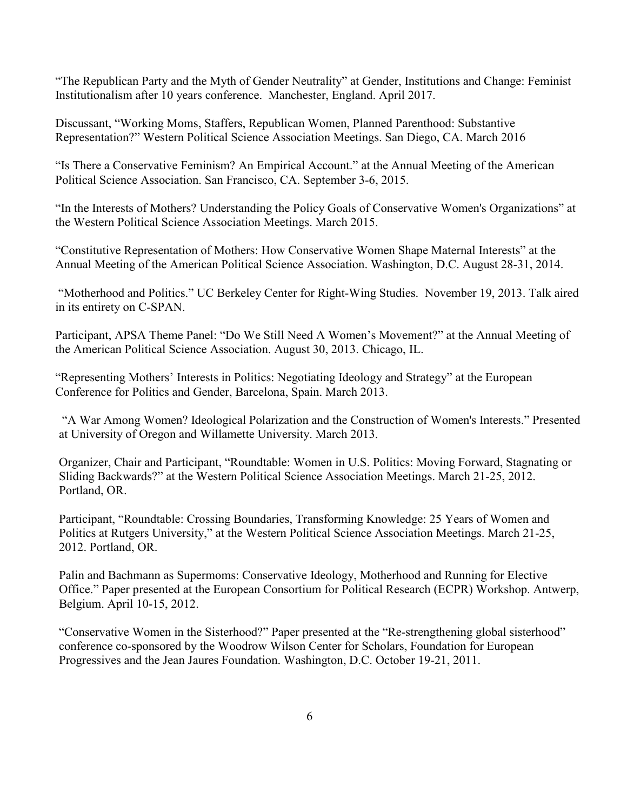"The Republican Party and the Myth of Gender Neutrality" at Gender, [Institutions](http://uicgenderconf.wixsite.com/conferencesite) and Change: Feminist [Institutionalism](http://uicgenderconf.wixsite.com/conferencesite) after 10 years conference. Manchester, England. April 2017.

Discussant, "Working Moms, Staffers, Republican Women, Planned Parenthood: Substantive Representation?" Western Political Science Association Meetings. San Diego, CA. March 2016

"Is There a Conservative Feminism? An Empirical Account." at the Annual Meeting of the American Political Science Association. San Francisco, CA. September 3-6, 2015.

"In the Interests of Mothers? Understanding the Policy Goals of Conservative Women's Organizations" at the Western Political Science Association Meetings. March 2015.

"Constitutive Representation of Mothers: How Conservative Women Shape Maternal Interests" at the Annual Meeting of the American Political Science Association. Washington, D.C. August 28-31, 2014.

"Motherhood and Politics." UC Berkeley Center for Right-Wing Studies. November 19, 2013. Talk aired in its entirety on C-SPAN.

Participant, APSA Theme Panel: "Do We Still Need A Women's Movement?" at the Annual Meeting of the American Political Science Association. August 30, 2013. Chicago, IL.

"Representing Mothers' Interests in Politics: Negotiating Ideology and Strategy" at the European Conference for Politics and Gender, Barcelona, Spain. March 2013.

["A War Among Women? Ideological Polarization and the Construction of Women's Interests.](http://www.calendar.uoregon.edu/EventList.aspx?fromdate=3/14/2013&todate=3/14/2013&display=Day&type=public&eventidn=1843&view=EventDetails&information_id=8700)" Presented at University of Oregon and Willamette University. March 2013.

Organizer, Chair and Participant, "Roundtable: Women in U.S. Politics: Moving Forward, Stagnating or Sliding Backwards?" at the Western Political Science Association Meetings. March 21-25, 2012. Portland, OR.

Participant, "Roundtable: Crossing Boundaries, Transforming Knowledge: 25 Years of Women and Politics at Rutgers University," at the Western Political Science Association Meetings. March 21-25, 2012. Portland, OR.

Palin and Bachmann as Supermoms: Conservative Ideology, Motherhood and Running for Elective Office." Paper presented at the European Consortium for Political Research (ECPR) Workshop. Antwerp, Belgium. April 10-15, 2012.

"Conservative Women in the Sisterhood?" Paper presented at the "Re-strengthening global sisterhood" conference co-sponsored by the Woodrow Wilson Center for Scholars, Foundation for European Progressives and the Jean Jaures Foundation. Washington, D.C. October 19-21, 2011.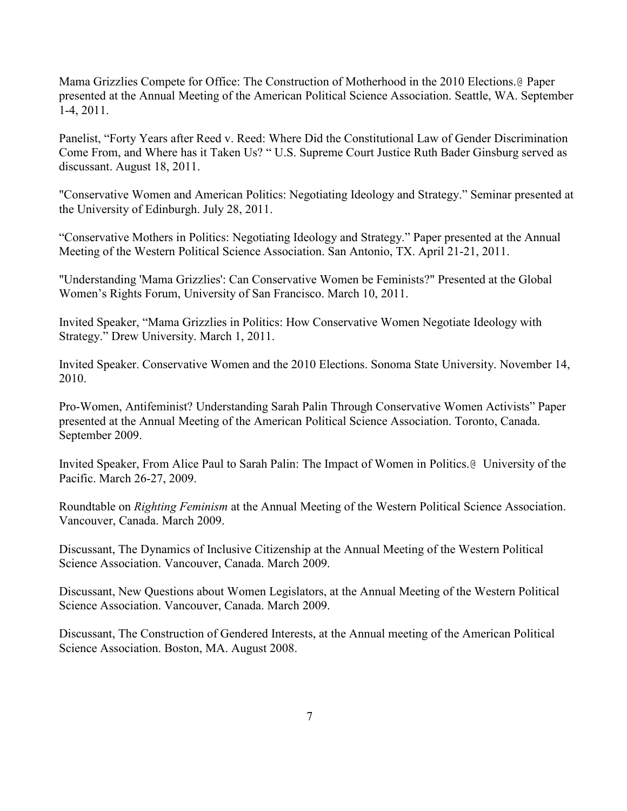Mama Grizzlies Compete for Office: The Construction of Motherhood in the 2010 Elections.@ Paper presented at the Annual Meeting of the American Political Science Association. Seattle, WA. September 1-4, 2011.

Panelist, "Forty Years after Reed v. Reed: Where Did the Constitutional Law of Gender Discrimination Come From, and Where has it Taken Us? " U.S. Supreme Court Justice Ruth Bader Ginsburg served as discussant. August 18, 2011.

"Conservative Women and American Politics: Negotiating Ideology and Strategy." Seminar presented at the University of Edinburgh. July 28, 2011.

"Conservative Mothers in Politics: Negotiating Ideology and Strategy." Paper presented at the Annual Meeting of the Western Political Science Association. San Antonio, TX. April 21-21, 2011.

"Understanding 'Mama Grizzlies': Can Conservative Women be Feminists?" Presented at the Global Women's Rights Forum, University of San Francisco. March 10, 2011.

Invited Speaker, "Mama Grizzlies in Politics: How Conservative Women Negotiate Ideology with Strategy." Drew University. March 1, 2011.

Invited Speaker. Conservative Women and the 2010 Elections. Sonoma State University. November 14, 2010.

Pro-Women, Antifeminist? Understanding Sarah Palin Through Conservative Women Activists" Paper presented at the Annual Meeting of the American Political Science Association. Toronto, Canada. September 2009.

Invited Speaker, From Alice Paul to Sarah Palin: The Impact of Women in Politics.@ University of the Pacific. March 26-27, 2009.

Roundtable on *Righting Feminism* at the Annual Meeting of the Western Political Science Association. Vancouver, Canada. March 2009.

Discussant, The Dynamics of Inclusive Citizenship at the Annual Meeting of the Western Political Science Association. Vancouver, Canada. March 2009.

Discussant, New Questions about Women Legislators, at the Annual Meeting of the Western Political Science Association. Vancouver, Canada. March 2009.

Discussant, The Construction of Gendered Interests, at the Annual meeting of the American Political Science Association. Boston, MA. August 2008.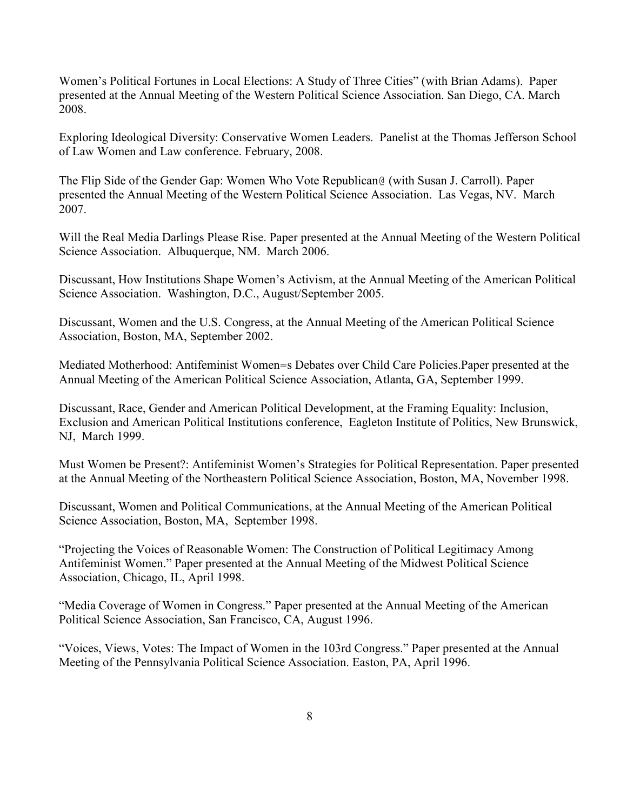Women's Political Fortunes in Local Elections: A Study of Three Cities" (with Brian Adams). Paper presented at the Annual Meeting of the Western Political Science Association. San Diego, CA. March 2008.

Exploring Ideological Diversity: Conservative Women Leaders. Panelist at the Thomas Jefferson School of Law Women and Law conference. February, 2008.

The Flip Side of the Gender Gap: Women Who Vote Republican@ (with Susan J. Carroll). Paper presented the Annual Meeting of the Western Political Science Association. Las Vegas, NV. March 2007.

Will the Real Media Darlings Please Rise. Paper presented at the Annual Meeting of the Western Political Science Association. Albuquerque, NM. March 2006.

Discussant, How Institutions Shape Women's Activism, at the Annual Meeting of the American Political Science Association. Washington, D.C., August/September 2005.

Discussant, Women and the U.S. Congress, at the Annual Meeting of the American Political Science Association, Boston, MA, September 2002.

Mediated Motherhood: Antifeminist Women=s Debates over Child Care Policies.Paper presented at the Annual Meeting of the American Political Science Association, Atlanta, GA, September 1999.

Discussant, Race, Gender and American Political Development, at the Framing Equality: Inclusion, Exclusion and American Political Institutions conference, Eagleton Institute of Politics, New Brunswick, NJ, March 1999.

Must Women be Present?: Antifeminist Women's Strategies for Political Representation. Paper presented at the Annual Meeting of the Northeastern Political Science Association, Boston, MA, November 1998.

Discussant, Women and Political Communications, at the Annual Meeting of the American Political Science Association, Boston, MA, September 1998.

"Projecting the Voices of Reasonable Women: The Construction of Political Legitimacy Among Antifeminist Women." Paper presented at the Annual Meeting of the Midwest Political Science Association, Chicago, IL, April 1998.

"Media Coverage of Women in Congress." Paper presented at the Annual Meeting of the American Political Science Association, San Francisco, CA, August 1996.

"Voices, Views, Votes: The Impact of Women in the 103rd Congress." Paper presented at the Annual Meeting of the Pennsylvania Political Science Association. Easton, PA, April 1996.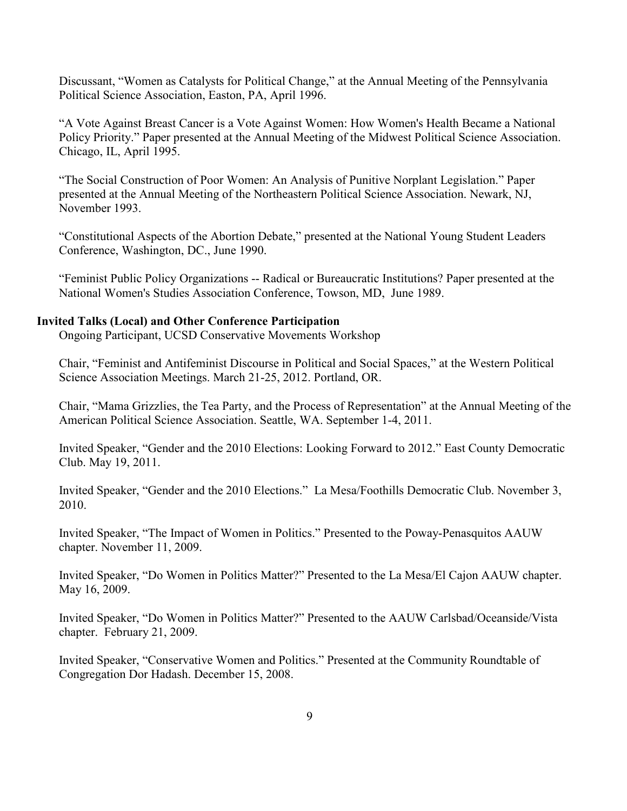Discussant, "Women as Catalysts for Political Change," at the Annual Meeting of the Pennsylvania Political Science Association, Easton, PA, April 1996.

"A Vote Against Breast Cancer is a Vote Against Women: How Women's Health Became a National Policy Priority." Paper presented at the Annual Meeting of the Midwest Political Science Association. Chicago, IL, April 1995.

"The Social Construction of Poor Women: An Analysis of Punitive Norplant Legislation." Paper presented at the Annual Meeting of the Northeastern Political Science Association. Newark, NJ, November 1993.

"Constitutional Aspects of the Abortion Debate," presented at the National Young Student Leaders Conference, Washington, DC., June 1990.

"Feminist Public Policy Organizations -- Radical or Bureaucratic Institutions? Paper presented at the National Women's Studies Association Conference, Towson, MD, June 1989.

#### **Invited Talks (Local) and Other Conference Participation**

Ongoing Participant, UCSD Conservative Movements Workshop

Chair, "Feminist and Antifeminist Discourse in Political and Social Spaces," at the Western Political Science Association Meetings. March 21-25, 2012. Portland, OR.

Chair, "Mama Grizzlies, the Tea Party, and the Process of Representation" at the Annual Meeting of the American Political Science Association. Seattle, WA. September 1-4, 2011.

Invited Speaker, "Gender and the 2010 Elections: Looking Forward to 2012." East County Democratic Club. May 19, 2011.

Invited Speaker, "Gender and the 2010 Elections." La Mesa/Foothills Democratic Club. November 3, 2010.

Invited Speaker, "The Impact of Women in Politics." Presented to the Poway-Penasquitos AAUW chapter. November 11, 2009.

Invited Speaker, "Do Women in Politics Matter?" Presented to the La Mesa/El Cajon AAUW chapter. May 16, 2009.

Invited Speaker, "Do Women in Politics Matter?" Presented to the AAUW Carlsbad/Oceanside/Vista chapter. February 21, 2009.

Invited Speaker, "Conservative Women and Politics." Presented at the Community Roundtable of Congregation Dor Hadash. December 15, 2008.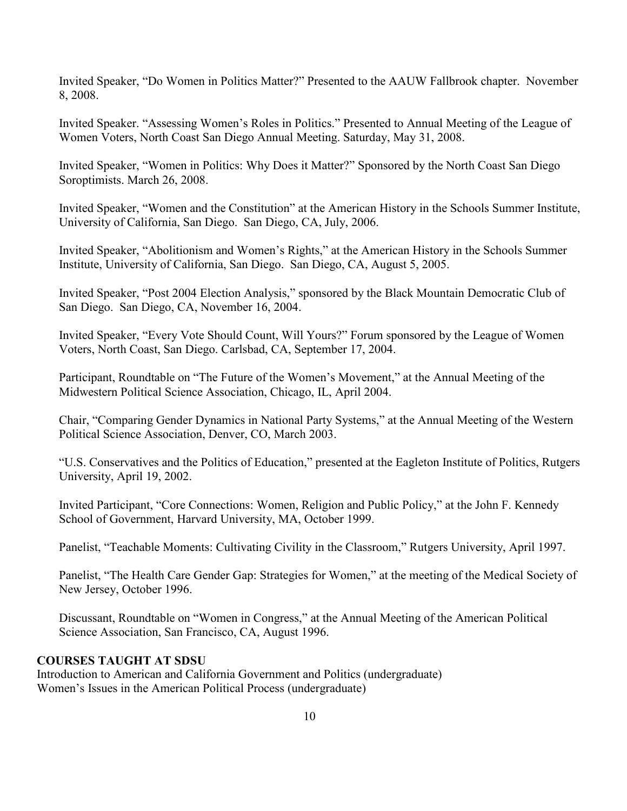Invited Speaker, "Do Women in Politics Matter?" Presented to the AAUW Fallbrook chapter. November 8, 2008.

Invited Speaker. "Assessing Women's Roles in Politics." Presented to Annual Meeting of the League of Women Voters, North Coast San Diego Annual Meeting. Saturday, May 31, 2008.

Invited Speaker, "Women in Politics: Why Does it Matter?" Sponsored by the North Coast San Diego Soroptimists. March 26, 2008.

Invited Speaker, "Women and the Constitution" at the American History in the Schools Summer Institute, University of California, San Diego. San Diego, CA, July, 2006.

Invited Speaker, "Abolitionism and Women's Rights," at the American History in the Schools Summer Institute, University of California, San Diego. San Diego, CA, August 5, 2005.

Invited Speaker, "Post 2004 Election Analysis," sponsored by the Black Mountain Democratic Club of San Diego. San Diego, CA, November 16, 2004.

Invited Speaker, "Every Vote Should Count, Will Yours?" Forum sponsored by the League of Women Voters, North Coast, San Diego. Carlsbad, CA, September 17, 2004.

Participant, Roundtable on "The Future of the Women's Movement," at the Annual Meeting of the Midwestern Political Science Association, Chicago, IL, April 2004.

Chair, "Comparing Gender Dynamics in National Party Systems," at the Annual Meeting of the Western Political Science Association, Denver, CO, March 2003.

"U.S. Conservatives and the Politics of Education," presented at the Eagleton Institute of Politics, Rutgers University, April 19, 2002.

Invited Participant, "Core Connections: Women, Religion and Public Policy," at the John F. Kennedy School of Government, Harvard University, MA, October 1999.

Panelist, "Teachable Moments: Cultivating Civility in the Classroom," Rutgers University, April 1997.

Panelist, "The Health Care Gender Gap: Strategies for Women," at the meeting of the Medical Society of New Jersey, October 1996.

Discussant, Roundtable on "Women in Congress," at the Annual Meeting of the American Political Science Association, San Francisco, CA, August 1996.

### **COURSES TAUGHT AT SDSU**

Introduction to American and California Government and Politics (undergraduate) Women's Issues in the American Political Process (undergraduate)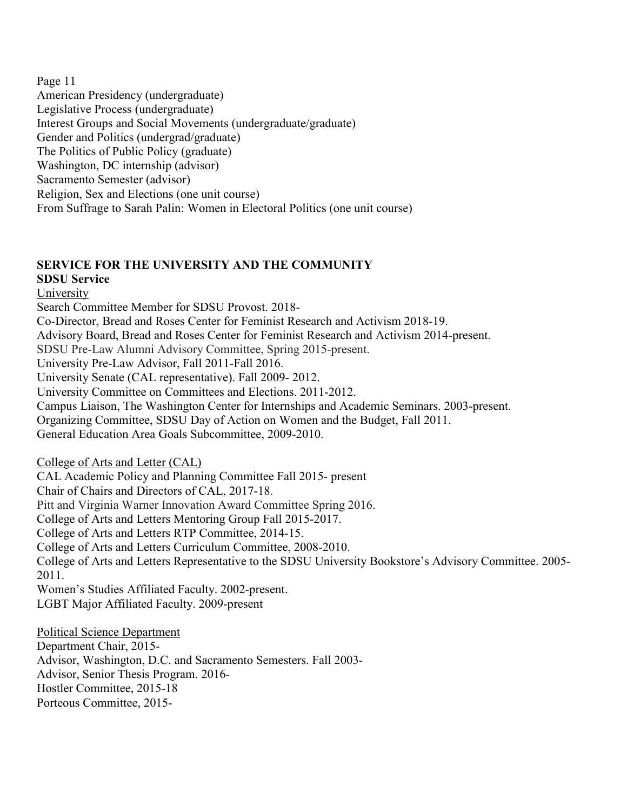Page 11 American Presidency (undergraduate) Legislative Process (undergraduate) Interest Groups and Social Movements (undergraduate/graduate) Gender and Politics (undergrad/graduate) The Politics of Public Policy (graduate) Washington, DC internship (advisor) Sacramento Semester (advisor) Religion, Sex and Elections (one unit course) From Suffrage to Sarah Palin: Women in Electoral Politics (one unit course)

#### **SERVICE FOR THE UNIVERSITY AND THE COMMUNITY SDSU Service**

University

Search Committee Member for SDSU Provost. 2018-

Co-Director, Bread and Roses Center for Feminist Research and Activism 2018-19.

Advisory Board, Bread and Roses Center for Feminist Research and Activism 2014-present.

SDSU Pre-Law Alumni Advisory Committee, Spring 2015-present.

University Pre-Law Advisor, Fall 2011-Fall 2016.

University Senate (CAL representative). Fall 2009- 2012.

University Committee on Committees and Elections. 2011-2012.

Campus Liaison, The Washington Center for Internships and Academic Seminars. 2003-present.

Organizing Committee, SDSU Day of Action on Women and the Budget, Fall 2011.

General Education Area Goals Subcommittee, 2009-2010.

College of Arts and Letter (CAL)

CAL Academic Policy and Planning Committee Fall 2015- present

Chair of Chairs and Directors of CAL, 2017-18.

Pitt and Virginia Warner Innovation Award Committee Spring 2016.

College of Arts and Letters Mentoring Group Fall 2015-2017.

College of Arts and Letters RTP Committee, 2014-15.

College of Arts and Letters Curriculum Committee, 2008-2010.

College of Arts and Letters Representative to the SDSU University Bookstore's Advisory Committee. 2005- 2011.

Women's Studies Affiliated Faculty. 2002-present. LGBT Major Affiliated Faculty. 2009-present

Political Science Department

Department Chair, 2015- Advisor, Washington, D.C. and Sacramento Semesters. Fall 2003- Advisor, Senior Thesis Program. 2016- Hostler Committee, 2015-18 Porteous Committee, 2015-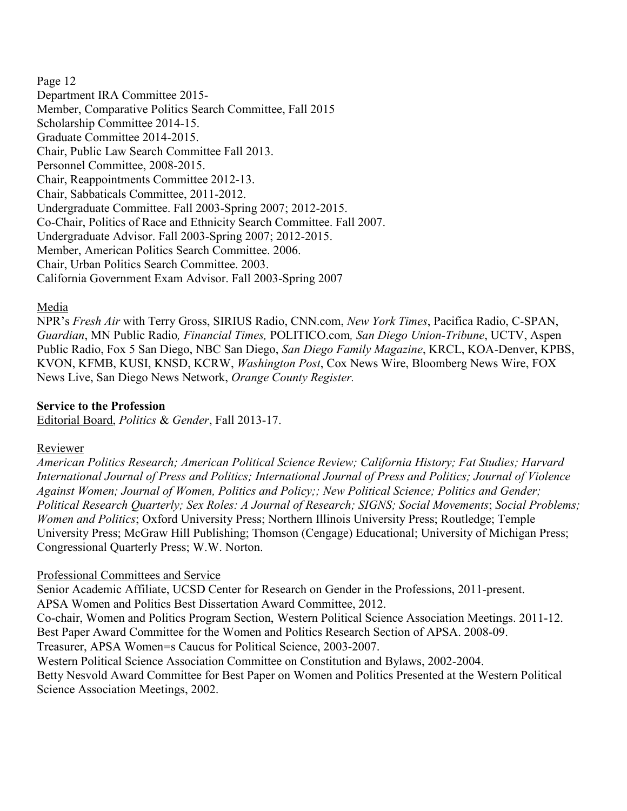## Page 12

Department IRA Committee 2015- Member, Comparative Politics Search Committee, Fall 2015 Scholarship Committee 2014-15. Graduate Committee 2014-2015. Chair, Public Law Search Committee Fall 2013. Personnel Committee, 2008-2015. Chair, Reappointments Committee 2012-13. Chair, Sabbaticals Committee, 2011-2012. Undergraduate Committee. Fall 2003-Spring 2007; 2012-2015. Co-Chair, Politics of Race and Ethnicity Search Committee. Fall 2007. Undergraduate Advisor. Fall 2003-Spring 2007; 2012-2015. Member, American Politics Search Committee. 2006. Chair, Urban Politics Search Committee. 2003. California Government Exam Advisor. Fall 2003-Spring 2007

# Media

NPR's *Fresh Air* with Terry Gross, SIRIUS Radio, CNN.com, *New York Times*, Pacifica Radio, C-SPAN, *Guardian*, MN Public Radio*, Financial Times,* POLITICO.com*, San Diego Union-Tribune*, UCTV, Aspen Public Radio, Fox 5 San Diego, NBC San Diego, *San Diego Family Magazine*, KRCL, KOA-Denver, KPBS, KVON, KFMB, KUSI, KNSD, KCRW, *Washington Post*, Cox News Wire, Bloomberg News Wire, FOX News Live, San Diego News Network, *Orange County Register.*

## **Service to the Profession**

Editorial Board, *Politics* & *Gender*, Fall 2013-17.

## Reviewer

*American Politics Research; American Political Science Review; California History; Fat Studies; Harvard International Journal of Press and Politics; International Journal of Press and Politics; Journal of Violence Against Women; Journal of Women, Politics and Policy;; New Political Science; Politics and Gender; Political Research Quarterly; Sex Roles: A Journal of Research; SIGNS; Social Movements*; *Social Problems; Women and Politics*; Oxford University Press; Northern Illinois University Press; Routledge; Temple University Press; McGraw Hill Publishing; Thomson (Cengage) Educational; University of Michigan Press; Congressional Quarterly Press; W.W. Norton.

## Professional Committees and Service

Senior Academic Affiliate, UCSD Center for Research on Gender in the Professions, 2011-present. APSA Women and Politics Best Dissertation Award Committee, 2012.

Co-chair, Women and Politics Program Section, Western Political Science Association Meetings. 2011-12. Best Paper Award Committee for the Women and Politics Research Section of APSA. 2008-09.

Treasurer, APSA Women=s Caucus for Political Science, 2003-2007.

Western Political Science Association Committee on Constitution and Bylaws, 2002-2004. Betty Nesvold Award Committee for Best Paper on Women and Politics Presented at the Western Political Science Association Meetings, 2002.